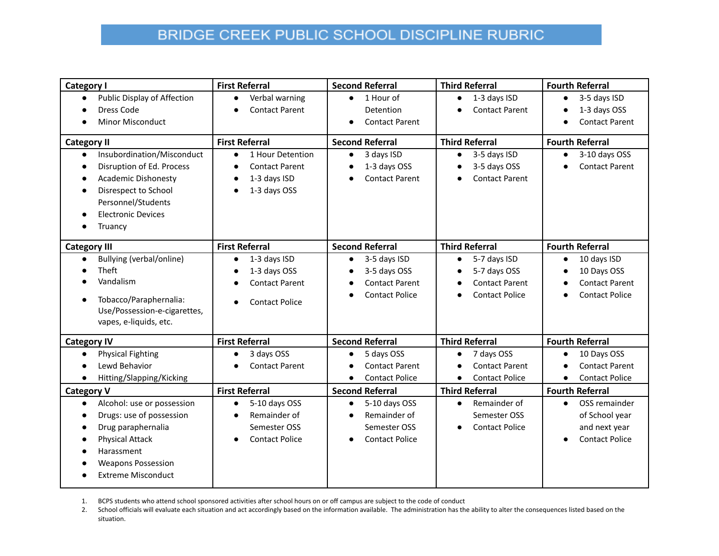## BRIDGE CREEK PUBLIC SCHOOL DISCIPLINE RUBRIC

| <b>Category I</b>                                                                                                                                                                                                           | <b>First Referral</b>                                                                                                        | <b>Second Referral</b>                                                                                  | <b>Third Referral</b>                                                                                     | <b>Fourth Referral</b>                                                                    |
|-----------------------------------------------------------------------------------------------------------------------------------------------------------------------------------------------------------------------------|------------------------------------------------------------------------------------------------------------------------------|---------------------------------------------------------------------------------------------------------|-----------------------------------------------------------------------------------------------------------|-------------------------------------------------------------------------------------------|
| Public Display of Affection<br>$\bullet$<br>Dress Code<br><b>Minor Misconduct</b>                                                                                                                                           | Verbal warning<br>$\bullet$<br><b>Contact Parent</b>                                                                         | 1 Hour of<br>$\bullet$<br>Detention<br><b>Contact Parent</b><br>$\bullet$                               | 1-3 days ISD<br>$\bullet$<br><b>Contact Parent</b>                                                        | 3-5 days ISD<br>$\bullet$<br>1-3 days OSS<br>$\bullet$<br><b>Contact Parent</b>           |
| <b>Category II</b><br>Insubordination/Misconduct<br>$\bullet$<br>Disruption of Ed. Process<br><b>Academic Dishonesty</b><br>Disrespect to School<br>Personnel/Students<br><b>Electronic Devices</b><br>Truancy<br>$\bullet$ | <b>First Referral</b><br>1 Hour Detention<br>$\bullet$<br><b>Contact Parent</b><br>$\bullet$<br>1-3 days ISD<br>1-3 days OSS | <b>Second Referral</b><br>3 days ISD<br>$\bullet$<br>1-3 days OSS<br>$\bullet$<br><b>Contact Parent</b> | <b>Third Referral</b><br>3-5 days ISD<br>$\bullet$<br>3-5 days OSS<br>$\bullet$<br><b>Contact Parent</b>  | <b>Fourth Referral</b><br>3-10 days OSS<br>$\bullet$<br><b>Contact Parent</b>             |
|                                                                                                                                                                                                                             | <b>First Referral</b>                                                                                                        | <b>Second Referral</b>                                                                                  | <b>Third Referral</b>                                                                                     | <b>Fourth Referral</b>                                                                    |
| <b>Category III</b><br>Bullying (verbal/online)<br>Theft<br>Vandalism<br>Tobacco/Paraphernalia:<br>Use/Possession-e-cigarettes,<br>vapes, e-liquids, etc.                                                                   | 1-3 days ISD<br>$\bullet$<br>1-3 days OSS<br><b>Contact Parent</b><br><b>Contact Police</b>                                  | 3-5 days ISD<br>$\bullet$<br>3-5 days OSS<br><b>Contact Parent</b><br><b>Contact Police</b>             | 5-7 days ISD<br>$\bullet$<br>5-7 days OSS<br><b>Contact Parent</b><br>$\epsilon$<br><b>Contact Police</b> | 10 days ISD<br>$\bullet$<br>10 Days OSS<br><b>Contact Parent</b><br><b>Contact Police</b> |
| <b>Category IV</b>                                                                                                                                                                                                          | <b>First Referral</b>                                                                                                        | <b>Second Referral</b>                                                                                  | <b>Third Referral</b>                                                                                     | <b>Fourth Referral</b>                                                                    |
| <b>Physical Fighting</b><br>Lewd Behavior<br>Hitting/Slapping/Kicking<br>$\bullet$                                                                                                                                          | 3 days OSS<br><b>Contact Parent</b>                                                                                          | 5 days OSS<br><b>Contact Parent</b><br><b>Contact Police</b><br>$\bullet$                               | 7 days OSS<br>$\bullet$<br><b>Contact Parent</b><br><b>Contact Police</b><br>$\bullet$                    | 10 Days OSS<br><b>Contact Parent</b><br><b>Contact Police</b><br>$\bullet$                |
| <b>Category V</b>                                                                                                                                                                                                           | <b>First Referral</b>                                                                                                        | <b>Second Referral</b>                                                                                  | <b>Third Referral</b>                                                                                     | <b>Fourth Referral</b>                                                                    |
| Alcohol: use or possession<br>$\bullet$<br>Drugs: use of possession<br>Drug paraphernalia<br><b>Physical Attack</b><br>Harassment<br><b>Weapons Possession</b><br><b>Extreme Misconduct</b>                                 | 5-10 days OSS<br>$\bullet$<br>Remainder of<br>$\bullet$<br>Semester OSS<br><b>Contact Police</b>                             | 5-10 days OSS<br>$\bullet$<br>Remainder of<br>Semester OSS<br><b>Contact Police</b><br>$\bullet$        | Remainder of<br>$\bullet$<br>Semester OSS<br><b>Contact Police</b><br>$\bullet$                           | OSS remainder<br>$\bullet$<br>of School year<br>and next year<br><b>Contact Police</b>    |

1. BCPS students who attend school sponsored activities after school hours on or off campus are subject to the code of conduct

2. School officials will evaluate each situation and act accordingly based on the information available. The administration has the ability to alter the consequences listed based on the situation.